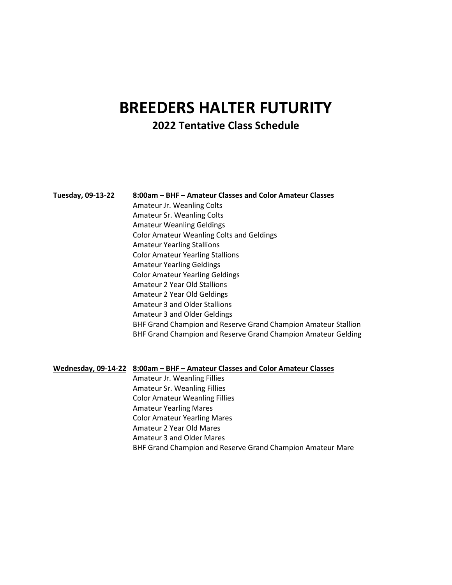## **BREEDERS HALTER FUTURITY 2022 Tentative Class Schedule**

## **Tuesday, 09-13-22 8:00am – BHF – Amateur Classes and Color Amateur Classes**

Amateur Jr. Weanling Colts Amateur Sr. Weanling Colts Amateur Weanling Geldings Color Amateur Weanling Colts and Geldings Amateur Yearling Stallions Color Amateur Yearling Stallions Amateur Yearling Geldings Color Amateur Yearling Geldings Amateur 2 Year Old Stallions Amateur 2 Year Old Geldings Amateur 3 and Older Stallions Amateur 3 and Older Geldings BHF Grand Champion and Reserve Grand Champion Amateur Stallion BHF Grand Champion and Reserve Grand Champion Amateur Gelding

## **Wednesday, 09-14-22 8:00am – BHF – Amateur Classes and Color Amateur Classes**

Amateur Jr. Weanling Fillies Amateur Sr. Weanling Fillies Color Amateur Weanling Fillies Amateur Yearling Mares Color Amateur Yearling Mares Amateur 2 Year Old Mares Amateur 3 and Older Mares BHF Grand Champion and Reserve Grand Champion Amateur Mare